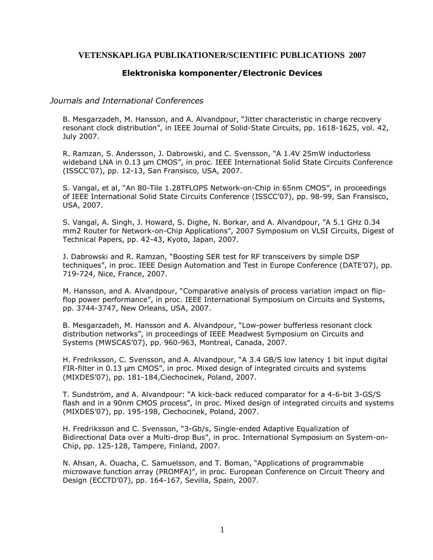# **VETENSKAPLIGA PUBLIKATIONER/SCIENTIFIC PUBLICATIONS 2007**

# **Elektroniska komponenter/Electronic Devices**

## *Journals and International Conferences*

B. Mesgarzadeh, M. Hansson, and A. Alvandpour, "Jitter characteristic in charge recovery resonant clock distribution", in IEEE Journal of Solid-State Circuits, pp. 1618-1625, vol. 42, July 2007.

R. Ramzan, S. Andersson, J. Dabrowski, and C. Svensson, "A 1.4V 25mW inductorless wideband LNA in 0.13 µm CMOS", in proc. IEEE International Solid State Circuits Conference (ISSCC'07), pp. 12-13, San Fransisco, USA, 2007.

S. Vangal, et al, "An 80-Tile 1.28TFLOPS Network-on-Chip in 65nm CMOS", in proceedings of IEEE International Solid State Circuits Conference (ISSCC'07), pp. 98-99, San Fransisco, USA, 2007.

S. Vangal, A. Singh, J. Howard, S. Dighe, N. Borkar, and A. Alvandpour, "A 5.1 GHz 0.34 mm2 Router for Network-on-Chip Applications", 2007 Symposium on VLSI Circuits, Digest of Technical Papers, pp. 42-43, Kyoto, Japan, 2007.

J. Dabrowski and R. Ramzan, "Boosting SER test for RF transceivers by simple DSP techniques", in proc. IEEE Design Automation and Test in Europe Conference (DATE'07), pp. 719-724, Nice, France, 2007.

M. Hansson, and A. Alvandpour, "Comparative analysis of process variation impact on flipflop power performance", in proc. IEEE International Symposium on Circuits and Systems, pp. 3744-3747, New Orleans, USA, 2007.

B. Mesgarzadeh, M. Hansson and A. Alvandpour, "Low-power bufferless resonant clock distribution networks", in proceedings of IEEE Meadwest Symposium on Circuits and Systems (MWSCAS'07), pp. 960-963, Montreal, Canada, 2007.

H. Fredriksson, C. Svensson, and A. Alvandpour, "A 3.4 GB/S low latency 1 bit input digital FIR-filter in  $0.13 \mu m$  CMOS", in proc. Mixed design of integrated circuits and systems (MIXDES'07), pp. 181-184,Ciechocinek, Poland, 2007.

T. Sundström, and A. Alvandpour: "A kick-back reduced comparator for a 4-6-bit 3-GS/S flash and in a 90nm CMOS process", in proc. Mixed design of integrated circuits and systems (MIXDES'07), pp. 195-198, Ciechocinek, Poland, 2007.

H. Fredriksson and C. Svensson, "3-Gb/s, Single-ended Adaptive Equalization of Bidirectional Data over a Multi-drop Bus", in proc. International Symposium on System-on-Chip, pp. 125-128, Tampere, Finland, 2007.

N. Ahsan, A. Ouacha, C. Samuelsson, and T. Boman, "Applications of programmable microwave function array (PROMFA)", in proc. European Conference on Circuit Theory and Design (ECCTD'07), pp. 164-167, Sevilla, Spain, 2007.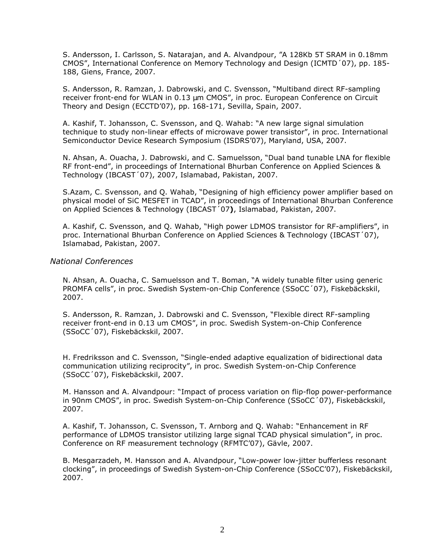S. Andersson, I. Carlsson, S. Natarajan, and A. Alvandpour, "A 128Kb 5T SRAM in 0.18mm CMOS", International Conference on Memory Technology and Design (ICMTD´07), pp. 185- 188, Giens, France, 2007.

S. Andersson, R. Ramzan, J. Dabrowski, and C. Svensson, "Multiband direct RF-sampling receiver front-end for WLAN in 0.13 µm CMOS", in proc. European Conference on Circuit Theory and Design (ECCTD'07), pp. 168-171, Sevilla, Spain, 2007.

A. Kashif, T. Johansson, C. Svensson, and Q. Wahab: "A new large signal simulation technique to study non-linear effects of microwave power transistor", in proc. International Semiconductor Device Research Symposium (ISDRS'07), Maryland, USA, 2007.

N. Ahsan, A. Ouacha, J. Dabrowski, and C. Samuelsson, "Dual band tunable LNA for flexible RF front-end", in proceedings of International Bhurban Conference on Applied Sciences & Technology (IBCAST´07), 2007, Islamabad, Pakistan, 2007.

S.Azam, C. Svensson, and Q. Wahab, "Designing of high efficiency power amplifier based on physical model of SiC MESFET in TCAD", in proceedings of International Bhurban Conference on Applied Sciences & Technology (IBCAST´07**)**, Islamabad, Pakistan, 2007.

A. Kashif, C. Svensson, and Q. Wahab, "High power LDMOS transistor for RF-amplifiers", in proc. International Bhurban Conference on Applied Sciences & Technology (IBCAST´07), Islamabad, Pakistan, 2007.

#### *National Conferences*

N. Ahsan, A. Ouacha, C. Samuelsson and T. Boman, "A widely tunable filter using generic PROMFA cells", in proc. Swedish System-on-Chip Conference (SSoCC´07), Fiskebäckskil, 2007.

S. Andersson, R. Ramzan, J. Dabrowski and C. Svensson, "Flexible direct RF-sampling receiver front-end in 0.13 um CMOS", in proc. Swedish System-on-Chip Conference (SSoCC´07), Fiskebäckskil, 2007.

H. Fredriksson and C. Svensson, "Single-ended adaptive equalization of bidirectional data communication utilizing reciprocity", in proc. Swedish System-on-Chip Conference (SSoCC´07), Fiskebäckskil, 2007.

M. Hansson and A. Alvandpour: "Impact of process variation on flip-flop power-performance in 90nm CMOS", in proc. Swedish System-on-Chip Conference (SSoCC´07), Fiskebäckskil, 2007.

A. Kashif, T. Johansson, C. Svensson, T. Arnborg and Q. Wahab: "Enhancement in RF performance of LDMOS transistor utilizing large signal TCAD physical simulation", in proc. Conference on RF measurement technology (RFMTC'07), Gävle, 2007.

B. Mesgarzadeh, M. Hansson and A. Alvandpour, "Low-power low-jitter bufferless resonant clocking", in proceedings of Swedish System-on-Chip Conference (SSoCC'07), Fiskebäckskil, 2007.